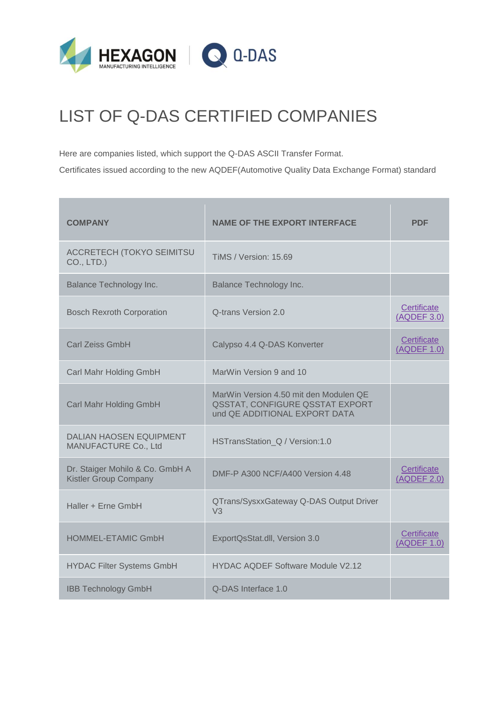

## LIST OF Q-DAS CERTIFIED COMPANIES

Here are companies listed, which support the [Q-DAS ASCII Transfer Format.](https://www.q-das.de/fileadmin/files2/dataformat/dataformat_manual_eng.zip?1283258997)

Certificates issued according to the new [AQDEF\(](https://www.q-das.de/fileadmin/files2/dataformat/Specification_AQDEF_V2_e.pdf)Automotive Quality Data Exchange Format) standard

| <b>COMPANY</b>                                                  | <b>NAME OF THE EXPORT INTERFACE</b>                                                                        | <b>PDF</b>                 |
|-----------------------------------------------------------------|------------------------------------------------------------------------------------------------------------|----------------------------|
| <b>ACCRETECH (TOKYO SEIMITSU</b><br>CO., LTD.)                  | <b>TiMS / Version: 15.69</b>                                                                               |                            |
| <b>Balance Technology Inc.</b>                                  | Balance Technology Inc.                                                                                    |                            |
| <b>Bosch Rexroth Corporation</b>                                | Q-trans Version 2.0                                                                                        | Certificate<br>(AQDEF 3.0) |
| <b>Carl Zeiss GmbH</b>                                          | Calypso 4.4 Q-DAS Konverter                                                                                | Certificate<br>(AQDEF 1.0) |
| Carl Mahr Holding GmbH                                          | MarWin Version 9 and 10                                                                                    |                            |
| Carl Mahr Holding GmbH                                          | MarWin Version 4.50 mit den Modulen QE<br>QSSTAT, CONFIGURE QSSTAT EXPORT<br>und QE ADDITIONAL EXPORT DATA |                            |
| <b>DALIAN HAOSEN EQUIPMENT</b><br>MANUFACTURE Co., Ltd          | HSTransStation Q / Version:1.0                                                                             |                            |
| Dr. Staiger Mohilo & Co. GmbH A<br><b>Kistler Group Company</b> | DMF-P A300 NCF/A400 Version 4.48                                                                           | Certificate<br>(AQDEF 2.0) |
| Haller + Erne GmbH                                              | QTrans/SysxxGateway Q-DAS Output Driver<br>V <sub>3</sub>                                                  |                            |
| <b>HOMMEL-ETAMIC GmbH</b>                                       | ExportQsStat.dll, Version 3.0                                                                              | Certificate<br>(AQDEF 1.0) |
| <b>HYDAC Filter Systems GmbH</b>                                | <b>HYDAC AQDEF Software Module V2.12</b>                                                                   |                            |
| <b>IBB Technology GmbH</b>                                      | Q-DAS Interface 1.0                                                                                        |                            |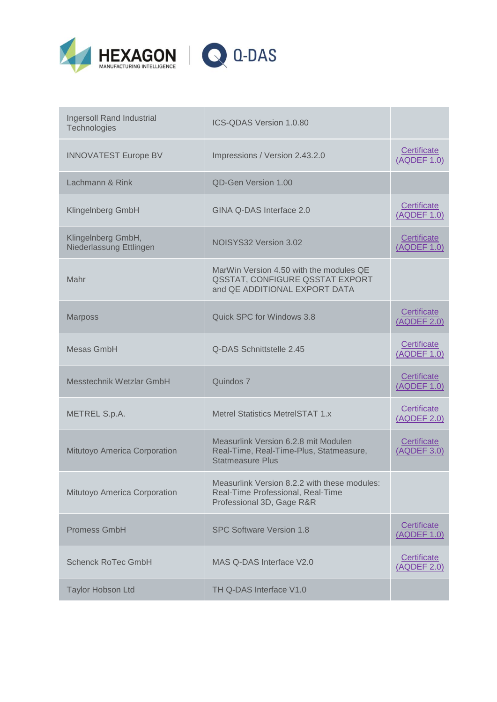



Q-DAS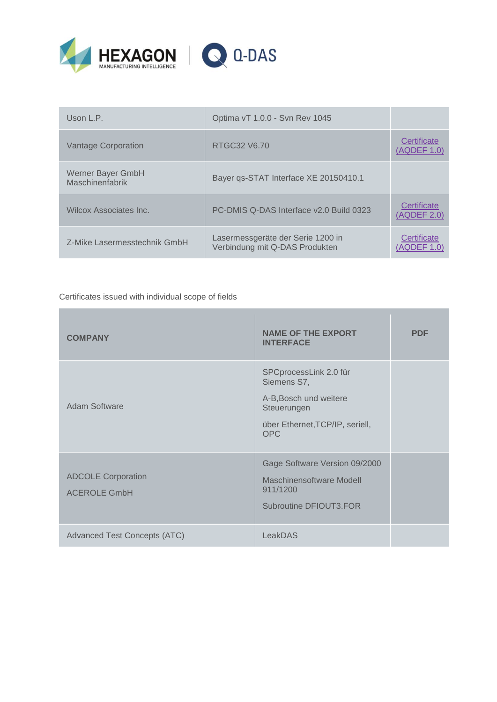



Certificates issued with individual scope of fields

| <b>COMPANY</b>                                   | <b>NAME OF THE EXPORT</b><br><b>INTERFACE</b>                                                                                   | <b>PDF</b> |
|--------------------------------------------------|---------------------------------------------------------------------------------------------------------------------------------|------------|
| Adam Software                                    | SPCprocessLink 2.0 für<br>Siemens S7,<br>A-B, Bosch und weitere<br>Steuerungen<br>über Ethernet, TCP/IP, seriell,<br><b>OPC</b> |            |
| <b>ADCOLE Corporation</b><br><b>ACEROLE GmbH</b> | Gage Software Version 09/2000<br>Maschinensoftware Modell<br>911/1200<br>Subroutine DFIOUT3.FOR                                 |            |
| <b>Advanced Test Concepts (ATC)</b>              | LeakDAS                                                                                                                         |            |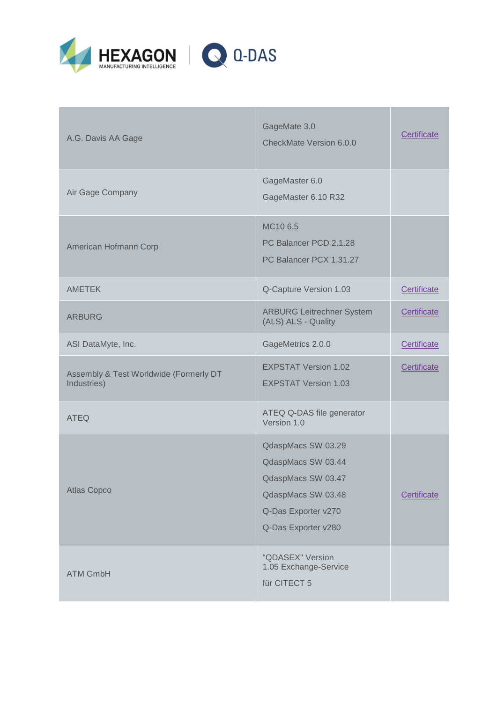

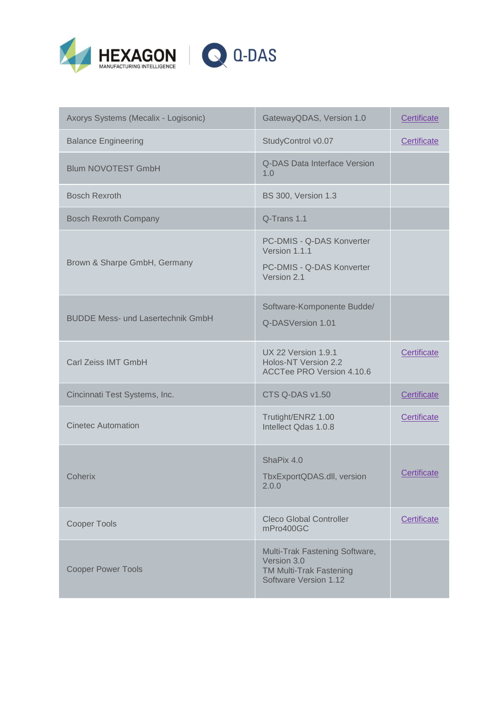

| Axorys Systems (Mecalix - Logisonic)     | GatewayQDAS, Version 1.0                                                                                 | Certificate |
|------------------------------------------|----------------------------------------------------------------------------------------------------------|-------------|
| <b>Balance Engineering</b>               | StudyControl v0.07                                                                                       | Certificate |
| <b>Blum NOVOTEST GmbH</b>                | Q-DAS Data Interface Version<br>1.0                                                                      |             |
| <b>Bosch Rexroth</b>                     | <b>BS 300, Version 1.3</b>                                                                               |             |
| <b>Bosch Rexroth Company</b>             | Q-Trans 1.1                                                                                              |             |
| Brown & Sharpe GmbH, Germany             | PC-DMIS - Q-DAS Konverter<br>Version 1.1.1<br>PC-DMIS - Q-DAS Konverter<br>Version 2.1                   |             |
| <b>BUDDE Mess- und Lasertechnik GmbH</b> | Software-Komponente Budde/<br>Q-DASVersion 1.01                                                          |             |
| <b>Carl Zeiss IMT GmbH</b>               | <b>UX 22 Version 1.9.1</b><br>Holos-NT Version 2.2<br><b>ACCTee PRO Version 4.10.6</b>                   | Certificate |
| Cincinnati Test Systems, Inc.            | CTS Q-DAS v1.50                                                                                          | Certificate |
| <b>Cinetec Automation</b>                | Trutight/ENRZ 1.00<br>Intellect Qdas 1.0.8                                                               | Certificate |
| Coherix                                  | ShaPix 4.0<br>TbxExportQDAS.dll, version<br>2.0.0                                                        | Certificate |
| <b>Cooper Tools</b>                      | <b>Cleco Global Controller</b><br>mPro400GC                                                              | Certificate |
| <b>Cooper Power Tools</b>                | Multi-Trak Fastening Software,<br>Version 3.0<br><b>TM Multi-Trak Fastening</b><br>Software Version 1.12 |             |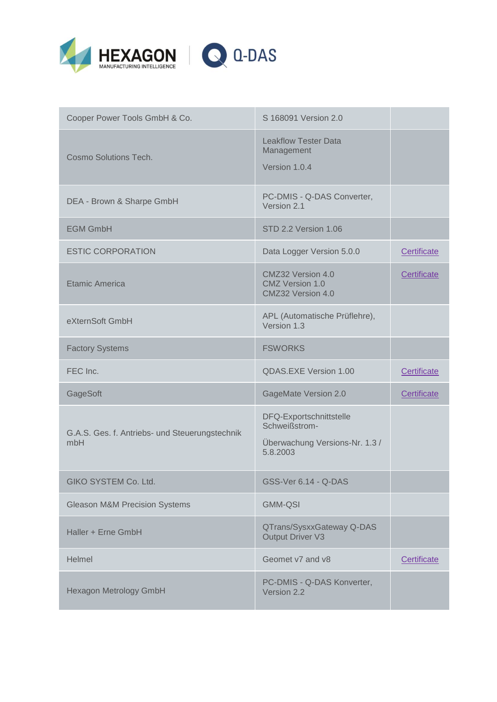



| Cooper Power Tools GmbH & Co.                         | S 168091 Version 2.0                                                                   |             |
|-------------------------------------------------------|----------------------------------------------------------------------------------------|-------------|
| Cosmo Solutions Tech.                                 | <b>Leakflow Tester Data</b><br>Management<br>Version 1.0.4                             |             |
| DEA - Brown & Sharpe GmbH                             | PC-DMIS - Q-DAS Converter,<br>Version 2.1                                              |             |
| <b>EGM GmbH</b>                                       | STD 2.2 Version 1.06                                                                   |             |
| <b>ESTIC CORPORATION</b>                              | Data Logger Version 5.0.0                                                              | Certificate |
| <b>Etamic America</b>                                 | CMZ32 Version 4.0<br><b>CMZ Version 1.0</b><br>CMZ32 Version 4.0                       | Certificate |
| eXternSoft GmbH                                       | APL (Automatische Prüflehre),<br>Version 1.3                                           |             |
| <b>Factory Systems</b>                                | <b>FSWORKS</b>                                                                         |             |
| FEC Inc.                                              | QDAS.EXE Version 1.00                                                                  | Certificate |
| GageSoft                                              | <b>GageMate Version 2.0</b>                                                            | Certificate |
| G.A.S. Ges. f. Antriebs- und Steuerungstechnik<br>mbH | DFQ-Exportschnittstelle<br>Schweißstrom-<br>Überwachung Versions-Nr. 1.3 /<br>5.8.2003 |             |
| GIKO SYSTEM Co. Ltd.                                  | GSS-Ver 6.14 - Q-DAS                                                                   |             |
| <b>Gleason M&amp;M Precision Systems</b>              | <b>GMM-QSI</b>                                                                         |             |
| Haller + Erne GmbH                                    | QTrans/SysxxGateway Q-DAS<br><b>Output Driver V3</b>                                   |             |
| Helmel                                                | Geomet v7 and v8                                                                       | Certificate |
| <b>Hexagon Metrology GmbH</b>                         | PC-DMIS - Q-DAS Konverter,<br>Version 2.2                                              |             |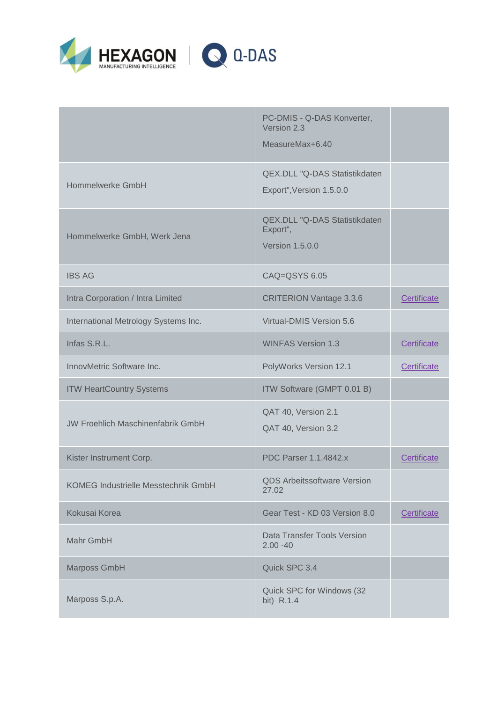

|                                          | PC-DMIS - Q-DAS Konverter,<br>Version 2.3<br>MeasureMax+6.40               |             |
|------------------------------------------|----------------------------------------------------------------------------|-------------|
| Hommelwerke GmbH                         | QEX.DLL "Q-DAS Statistikdaten<br>Export", Version 1.5.0.0                  |             |
| Hommelwerke GmbH, Werk Jena              | <b>QEX.DLL "Q-DAS Statistikdaten</b><br>Export",<br><b>Version 1.5.0.0</b> |             |
| <b>IBS AG</b>                            | CAQ=QSYS 6.05                                                              |             |
| Intra Corporation / Intra Limited        | <b>CRITERION Vantage 3.3.6</b>                                             | Certificate |
| International Metrology Systems Inc.     | Virtual-DMIS Version 5.6                                                   |             |
| Infas S.R.L.                             | <b>WINFAS Version 1.3</b>                                                  | Certificate |
| InnovMetric Software Inc.                | PolyWorks Version 12.1                                                     | Certificate |
| <b>ITW HeartCountry Systems</b>          | ITW Software (GMPT 0.01 B)                                                 |             |
| <b>JW Froehlich Maschinenfabrik GmbH</b> | QAT 40, Version 2.1<br>QAT 40, Version 3.2                                 |             |
| Kister Instrument Corp.                  | <b>PDC Parser 1.1.4842.x</b>                                               | Certificate |
| KOMEG Industrielle Messtechnik GmbH      | <b>QDS Arbeitssoftware Version</b><br>27.02                                |             |
| Kokusai Korea                            | Gear Test - KD 03 Version 8.0                                              | Certificate |
| Mahr GmbH                                | Data Transfer Tools Version<br>$2.00 - 40$                                 |             |
| Marposs GmbH                             | Quick SPC 3.4                                                              |             |
| Marposs S.p.A.                           | Quick SPC for Windows (32<br>bit) R.1.4                                    |             |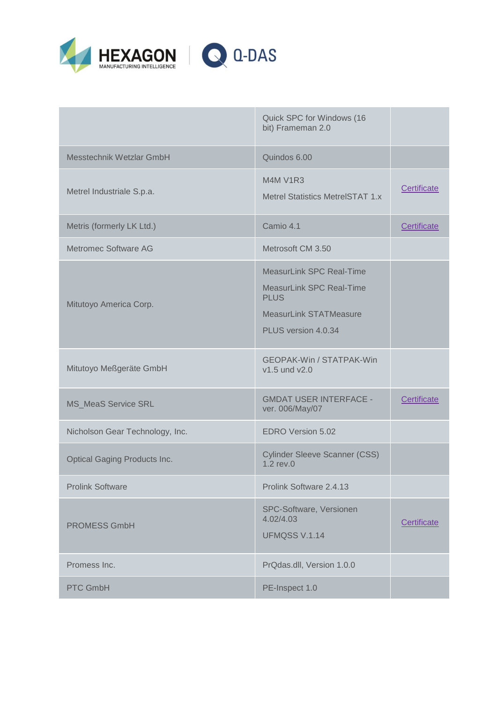

|                                     | Quick SPC for Windows (16<br>bit) Frameman 2.0                                                                                            |             |
|-------------------------------------|-------------------------------------------------------------------------------------------------------------------------------------------|-------------|
| Messtechnik Wetzlar GmbH            | Quindos 6.00                                                                                                                              |             |
| Metrel Industriale S.p.a.           | <b>M4M V1R3</b><br>Metrel Statistics MetrelSTAT 1.x                                                                                       | Certificate |
| Metris (formerly LK Ltd.)           | Camio 4.1                                                                                                                                 | Certificate |
| Metromec Software AG                | Metrosoft CM 3.50                                                                                                                         |             |
| Mitutoyo America Corp.              | <b>MeasurLink SPC Real-Time</b><br><b>MeasurLink SPC Real-Time</b><br><b>PLUS</b><br><b>MeasurLink STATMeasure</b><br>PLUS version 4.0.34 |             |
| Mitutoyo Meßgeräte GmbH             | <b>GEOPAK-Win / STATPAK-Win</b><br>v1.5 und v2.0                                                                                          |             |
| <b>MS_MeaS Service SRL</b>          | <b>GMDAT USER INTERFACE -</b><br>ver. 006/May/07                                                                                          | Certificate |
| Nicholson Gear Technology, Inc.     | EDRO Version 5.02                                                                                                                         |             |
| <b>Optical Gaging Products Inc.</b> | <b>Cylinder Sleeve Scanner (CSS)</b><br>$1.2$ rev. $0$                                                                                    |             |
| <b>Prolink Software</b>             | Prolink Software 2.4.13                                                                                                                   |             |
| <b>PROMESS GmbH</b>                 | SPC-Software, Versionen<br>4.02/4.03<br><b>UFMQSS V.1.14</b>                                                                              | Certificate |
| Promess Inc.                        | PrQdas.dll, Version 1.0.0                                                                                                                 |             |
| <b>PTC GmbH</b>                     | PE-Inspect 1.0                                                                                                                            |             |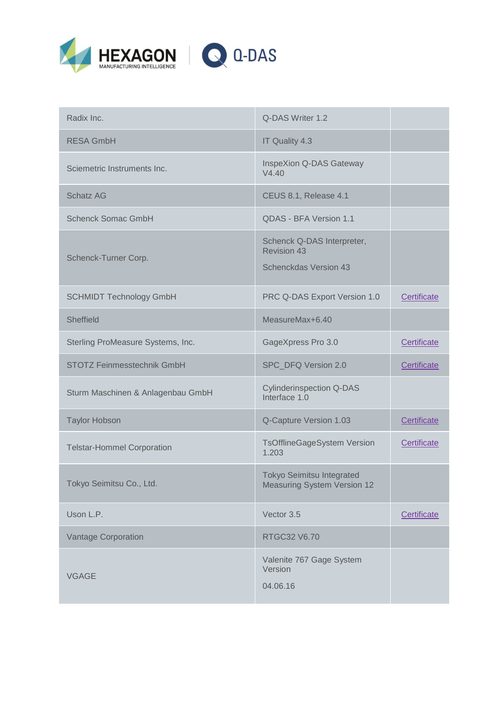

| Radix Inc.                        | Q-DAS Writer 1.2                                                                 |             |
|-----------------------------------|----------------------------------------------------------------------------------|-------------|
| <b>RESA GmbH</b>                  | IT Quality 4.3                                                                   |             |
| Sciemetric Instruments Inc.       | InspeXion Q-DAS Gateway<br>V4.40                                                 |             |
| <b>Schatz AG</b>                  | CEUS 8.1, Release 4.1                                                            |             |
| <b>Schenck Somac GmbH</b>         | QDAS - BFA Version 1.1                                                           |             |
| Schenck-Turner Corp.              | Schenck Q-DAS Interpreter,<br><b>Revision 43</b><br><b>Schenckdas Version 43</b> |             |
| <b>SCHMIDT Technology GmbH</b>    | PRC Q-DAS Export Version 1.0                                                     | Certificate |
| Sheffield                         | MeasureMax+6.40                                                                  |             |
| Sterling ProMeasure Systems, Inc. | GageXpress Pro 3.0                                                               | Certificate |
| <b>STOTZ Feinmesstechnik GmbH</b> | SPC_DFQ Version 2.0                                                              | Certificate |
| Sturm Maschinen & Anlagenbau GmbH | <b>Cylinderinspection Q-DAS</b><br>Interface 1.0                                 |             |
| <b>Taylor Hobson</b>              | Q-Capture Version 1.03                                                           | Certificate |
| <b>Telstar-Hommel Corporation</b> | <b>TsOfflineGageSystem Version</b><br>1.203                                      | Certificate |
| Tokyo Seimitsu Co., Ltd.          | <b>Tokyo Seimitsu Integrated</b><br><b>Measuring System Version 12</b>           |             |
| Uson L.P.                         | Vector 3.5                                                                       | Certificate |
| <b>Vantage Corporation</b>        | RTGC32 V6.70                                                                     |             |
| <b>VGAGE</b>                      | Valenite 767 Gage System<br>Version<br>04.06.16                                  |             |